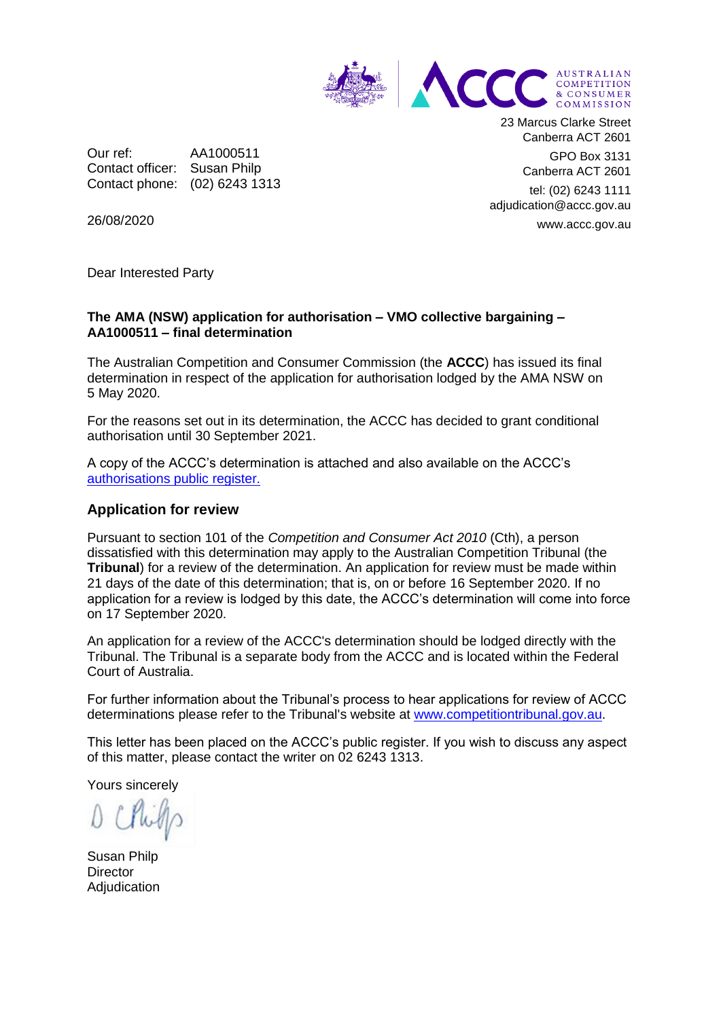

Our ref: AA1000511 Contact officer: Susan Philp Contact phone: (02) 6243 1313 23 Marcus Clarke Street Canberra ACT 2601 GPO Box 3131

Canberra ACT 2601

tel: (02) 6243 1111 adjudication@accc.gov.au www.accc.gov.au

26/08/2020

Dear Interested Party

## **The AMA (NSW) application for authorisation – VMO collective bargaining – AA1000511 – final determination**

The Australian Competition and Consumer Commission (the **ACCC**) has issued its final determination in respect of the application for authorisation lodged by the AMA NSW on 5 May 2020.

For the reasons set out in its determination, the ACCC has decided to grant conditional authorisation until 30 September 2021.

A copy of the ACCC's determination is attached and also available on the ACCC's [authorisations public register.](https://www.accc.gov.au/public-registers/authorisations-and-notifications-registers/authorisations-register/amansw-%e2%80%93-vmo-collective-bargaining-in-response-to-covid-19)

## **Application for review**

Pursuant to section 101 of the *Competition and Consumer Act 2010* (Cth), a person dissatisfied with this determination may apply to the Australian Competition Tribunal (the **Tribunal**) for a review of the determination. An application for review must be made within 21 days of the date of this determination; that is, on or before 16 September 2020. If no application for a review is lodged by this date, the ACCC's determination will come into force on 17 September 2020.

An application for a review of the ACCC's determination should be lodged directly with the Tribunal. The Tribunal is a separate body from the ACCC and is located within the Federal Court of Australia.

For further information about the Tribunal's process to hear applications for review of ACCC determinations please refer to the Tribunal's website at [www.competitiontribunal.gov.au.](http://www.competitiontribunal.gov.au/)

This letter has been placed on the ACCC's public register. If you wish to discuss any aspect of this matter, please contact the writer on 02 6243 1313.

Yours sincerely

Susan Philp **Director** Adjudication